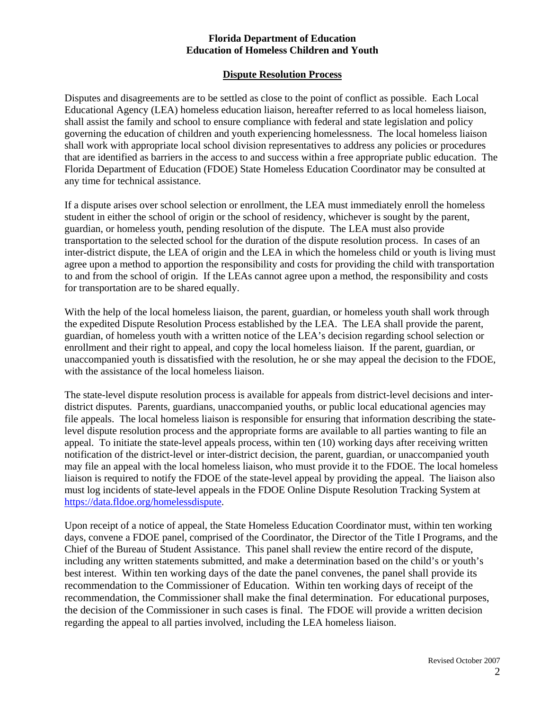## **Florida Department of Education Education of Homeless Children and Youth**

## **Dispute Resolution Process**

Disputes and disagreements are to be settled as close to the point of conflict as possible. Each Local Educational Agency (LEA) homeless education liaison, hereafter referred to as local homeless liaison, shall assist the family and school to ensure compliance with federal and state legislation and policy governing the education of children and youth experiencing homelessness. The local homeless liaison shall work with appropriate local school division representatives to address any policies or procedures that are identified as barriers in the access to and success within a free appropriate public education. The Florida Department of Education (FDOE) State Homeless Education Coordinator may be consulted at any time for technical assistance.

If a dispute arises over school selection or enrollment, the LEA must immediately enroll the homeless student in either the school of origin or the school of residency, whichever is sought by the parent, guardian, or homeless youth, pending resolution of the dispute. The LEA must also provide transportation to the selected school for the duration of the dispute resolution process. In cases of an inter-district dispute, the LEA of origin and the LEA in which the homeless child or youth is living must agree upon a method to apportion the responsibility and costs for providing the child with transportation to and from the school of origin. If the LEAs cannot agree upon a method, the responsibility and costs for transportation are to be shared equally.

With the help of the local homeless liaison, the parent, guardian, or homeless youth shall work through the expedited Dispute Resolution Process established by the LEA. The LEA shall provide the parent, guardian, of homeless youth with a written notice of the LEA's decision regarding school selection or enrollment and their right to appeal, and copy the local homeless liaison. If the parent, guardian, or unaccompanied youth is dissatisfied with the resolution, he or she may appeal the decision to the FDOE, with the assistance of the local homeless liaison.

The state-level dispute resolution process is available for appeals from district-level decisions and interdistrict disputes. Parents, guardians, unaccompanied youths, or public local educational agencies may file appeals. The local homeless liaison is responsible for ensuring that information describing the statelevel dispute resolution process and the appropriate forms are available to all parties wanting to file an appeal. To initiate the state-level appeals process, within ten (10) working days after receiving written notification of the district-level or inter-district decision, the parent, guardian, or unaccompanied youth may file an appeal with the local homeless liaison, who must provide it to the FDOE. The local homeless liaison is required to notify the FDOE of the state-level appeal by providing the appeal. The liaison also must log incidents of state-level appeals in the FDOE Online Dispute Resolution Tracking System at https://data.fldoe.org/homelessdispute.

Upon receipt of a notice of appeal, the State Homeless Education Coordinator must, within ten working days, convene a FDOE panel, comprised of the Coordinator, the Director of the Title I Programs, and the Chief of the Bureau of Student Assistance. This panel shall review the entire record of the dispute, including any written statements submitted, and make a determination based on the child's or youth's best interest. Within ten working days of the date the panel convenes, the panel shall provide its recommendation to the Commissioner of Education. Within ten working days of receipt of the recommendation, the Commissioner shall make the final determination. For educational purposes, the decision of the Commissioner in such cases is final. The FDOE will provide a written decision regarding the appeal to all parties involved, including the LEA homeless liaison.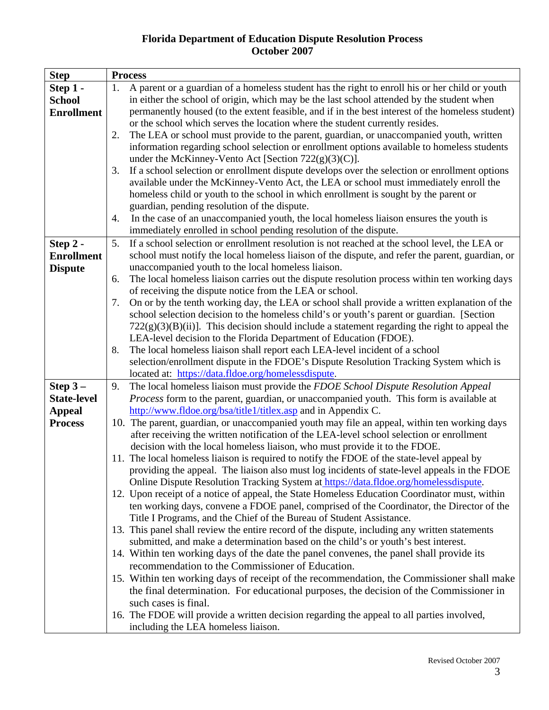## **Florida Department of Education Dispute Resolution Process October 2007**

| <b>Step</b>        | <b>Process</b>                                                                                       |  |  |  |  |  |
|--------------------|------------------------------------------------------------------------------------------------------|--|--|--|--|--|
| Step 1 -           | A parent or a guardian of a homeless student has the right to enroll his or her child or youth<br>1. |  |  |  |  |  |
| <b>School</b>      | in either the school of origin, which may be the last school attended by the student when            |  |  |  |  |  |
| <b>Enrollment</b>  | permanently housed (to the extent feasible, and if in the best interest of the homeless student)     |  |  |  |  |  |
|                    | or the school which serves the location where the student currently resides.                         |  |  |  |  |  |
|                    | The LEA or school must provide to the parent, guardian, or unaccompanied youth, written<br>2.        |  |  |  |  |  |
|                    | information regarding school selection or enrollment options available to homeless students          |  |  |  |  |  |
|                    | under the McKinney-Vento Act [Section $722(g)(3)(C)$ ].                                              |  |  |  |  |  |
|                    | If a school selection or enrollment dispute develops over the selection or enrollment options<br>3.  |  |  |  |  |  |
|                    | available under the McKinney-Vento Act, the LEA or school must immediately enroll the                |  |  |  |  |  |
|                    | homeless child or youth to the school in which enrollment is sought by the parent or                 |  |  |  |  |  |
|                    | guardian, pending resolution of the dispute.                                                         |  |  |  |  |  |
|                    | In the case of an unaccompanied youth, the local homeless liaison ensures the youth is<br>4.         |  |  |  |  |  |
|                    | immediately enrolled in school pending resolution of the dispute.                                    |  |  |  |  |  |
| Step 2 -           | If a school selection or enrollment resolution is not reached at the school level, the LEA or<br>5.  |  |  |  |  |  |
| <b>Enrollment</b>  | school must notify the local homeless liaison of the dispute, and refer the parent, guardian, or     |  |  |  |  |  |
| <b>Dispute</b>     | unaccompanied youth to the local homeless liaison.                                                   |  |  |  |  |  |
|                    | The local homeless liaison carries out the dispute resolution process within ten working days<br>6.  |  |  |  |  |  |
|                    | of receiving the dispute notice from the LEA or school.                                              |  |  |  |  |  |
|                    | On or by the tenth working day, the LEA or school shall provide a written explanation of the<br>7.   |  |  |  |  |  |
|                    | school selection decision to the homeless child's or youth's parent or guardian. [Section            |  |  |  |  |  |
|                    | $722(g)(3)(B)(ii)$ ]. This decision should include a statement regarding the right to appeal the     |  |  |  |  |  |
|                    | LEA-level decision to the Florida Department of Education (FDOE).                                    |  |  |  |  |  |
|                    | The local homeless liaison shall report each LEA-level incident of a school<br>8.                    |  |  |  |  |  |
|                    | selection/enrollment dispute in the FDOE's Dispute Resolution Tracking System which is               |  |  |  |  |  |
|                    | located at: https://data.fldoe.org/homelessdispute.                                                  |  |  |  |  |  |
| Step $3-$          | The local homeless liaison must provide the FDOE School Dispute Resolution Appeal<br>9.              |  |  |  |  |  |
| <b>State-level</b> | Process form to the parent, guardian, or unaccompanied youth. This form is available at              |  |  |  |  |  |
| <b>Appeal</b>      | http://www.fldoe.org/bsa/title1/titlex.asp and in Appendix C.                                        |  |  |  |  |  |
| <b>Process</b>     | 10. The parent, guardian, or unaccompanied youth may file an appeal, within ten working days         |  |  |  |  |  |
|                    | after receiving the written notification of the LEA-level school selection or enrollment             |  |  |  |  |  |
|                    | decision with the local homeless liaison, who must provide it to the FDOE.                           |  |  |  |  |  |
|                    | 11. The local homeless liaison is required to notify the FDOE of the state-level appeal by           |  |  |  |  |  |
|                    | providing the appeal. The liaison also must log incidents of state-level appeals in the FDOE         |  |  |  |  |  |
|                    | Online Dispute Resolution Tracking System at https://data.fldoe.org/homelessdispute.                 |  |  |  |  |  |
|                    | 12. Upon receipt of a notice of appeal, the State Homeless Education Coordinator must, within        |  |  |  |  |  |
|                    | ten working days, convene a FDOE panel, comprised of the Coordinator, the Director of the            |  |  |  |  |  |
|                    | Title I Programs, and the Chief of the Bureau of Student Assistance.                                 |  |  |  |  |  |
|                    | 13. This panel shall review the entire record of the dispute, including any written statements       |  |  |  |  |  |
|                    | submitted, and make a determination based on the child's or youth's best interest.                   |  |  |  |  |  |
|                    | 14. Within ten working days of the date the panel convenes, the panel shall provide its              |  |  |  |  |  |
|                    | recommendation to the Commissioner of Education.                                                     |  |  |  |  |  |
|                    | 15. Within ten working days of receipt of the recommendation, the Commissioner shall make            |  |  |  |  |  |
|                    | the final determination. For educational purposes, the decision of the Commissioner in               |  |  |  |  |  |
|                    | such cases is final.                                                                                 |  |  |  |  |  |
|                    | 16. The FDOE will provide a written decision regarding the appeal to all parties involved,           |  |  |  |  |  |
|                    | including the LEA homeless liaison.                                                                  |  |  |  |  |  |